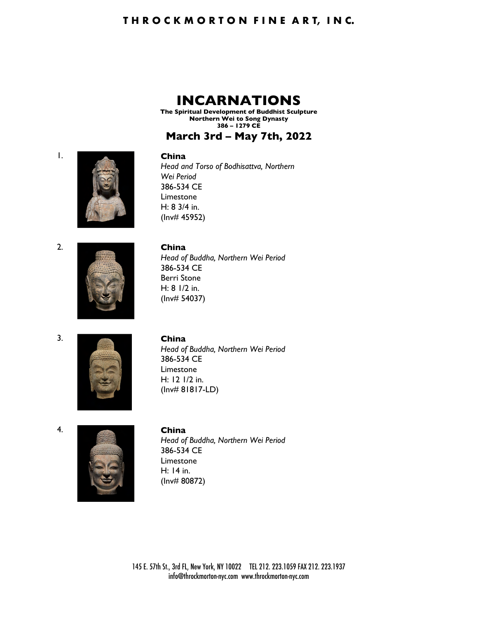## **THROCKMORTON FINE ART, INC.**

## **INCARNATIONS**

**The Spiritual Development of Buddhist Sculpture Northern Wei to Song Dynasty 386 – 1279 CE**

## **March 3rd – May 7th, 2022**

#### 1. **China**

*Head and Torso of Bodhisattva, Northern Wei Period* 386-534 CE Limestone H: 8 3/4 in. (Inv# 45952)



#### 2. **China**

*Head of Buddha, Northern Wei Period* 386-534 CE Berri Stone H: 8 1/2 in. (Inv# 54037)



.......

2.



#### 3. **China**

*Head of Buddha, Northern Wei Period* 386-534 CE Limestone H: 12 1/2 in. (Inv# 81817-LD)





## 4. **China** *Head of Buddha, Northern Wei Period* 386-534 CE Limestone H: 14 in. (Inv# 80872)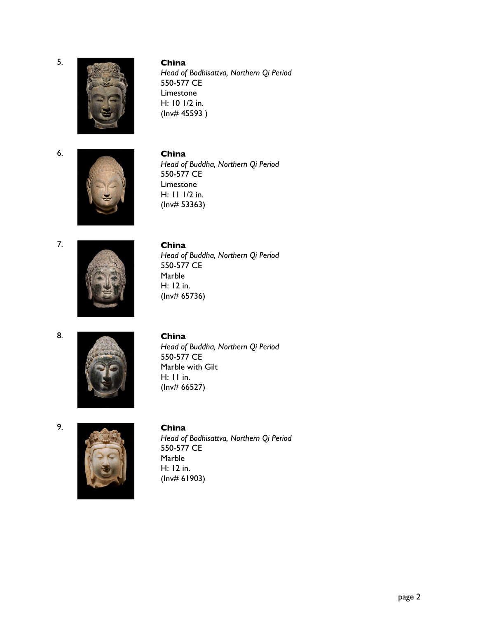6.



5. **China** *Head of Bodhisattva, Northern Qi Period* 550-577 CE Limestone H: 10 1/2 in. (Inv# 45593 )



6. **China** *Head of Buddha, Northern Qi Period* 550-577 CE Limestone H: 11 1/2 in. (Inv# 53363)

7.



7. **China** *Head of Buddha, Northern Qi Period* 550-577 CE Marble H: 12 in.

8.



#### 8. **China**

(Inv# 65736)

*Head of Buddha, Northern Qi Period* 550-577 CE Marble with Gilt H: 11 in. (Inv# 66527)





#### 9. **China**

*Head of Bodhisattva, Northern Qi Period* 550-577 CE Marble H: 12 in. (Inv# 61903)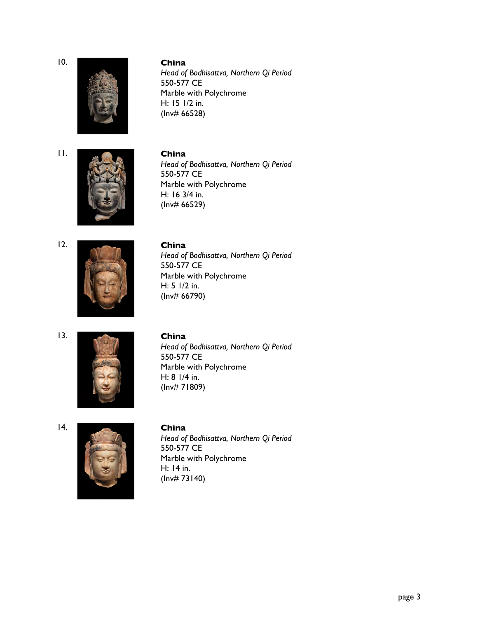.......



#### 10. **China**

*Head of Bodhisattva, Northern Qi Period* 550-577 CE Marble with Polychrome H: 15 1/2 in. (Inv# 66528)



## 11. **China** *Head of Bodhisattva, Northern Qi Period* 550-577 CE Marble with Polychrome H: 16 3/4 in. (Inv# 66529)





#### 12. **China**

*Head of Bodhisattva, Northern Qi Period* 550-577 CE Marble with Polychrome H: 5 1/2 in. (Inv# 66790)



#### 13. **China**

*Head of Bodhisattva, Northern Qi Period* 550-577 CE Marble with Polychrome H: 8 1/4 in. (Inv# 71809)





#### 14. **China**

*Head of Bodhisattva, Northern Qi Period* 550-577 CE Marble with Polychrome H: 14 in. (Inv# 73140)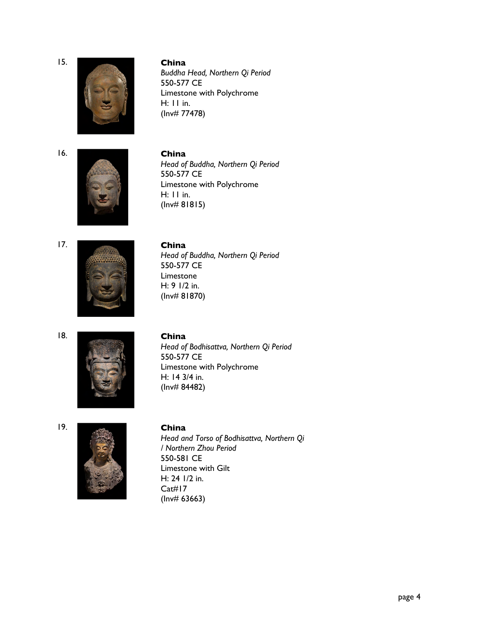.......



15. **China**

*Buddha Head, Northern Qi Period* 550-577 CE Limestone with Polychrome H: 11 in. (Inv# 77478)

.......



16. **China** *Head of Buddha, Northern Qi Period* 550-577 CE Limestone with Polychrome H: 11 in. (Inv# 81815)





#### 17. **China**

*Head of Buddha, Northern Qi Period* 550-577 CE Limestone H: 9 1/2 in. (Inv# 81870)

.......



## 18. **China**

*Head of Bodhisattva, Northern Qi Period* 550-577 CE Limestone with Polychrome H: 14 3/4 in. (Inv# 84482)

## .......



19. **China** *Head and Torso of Bodhisattva, Northern Qi / Northern Zhou Period* 550-581 CE Limestone with Gilt H: 24 1/2 in. Cat#17 (Inv# 63663)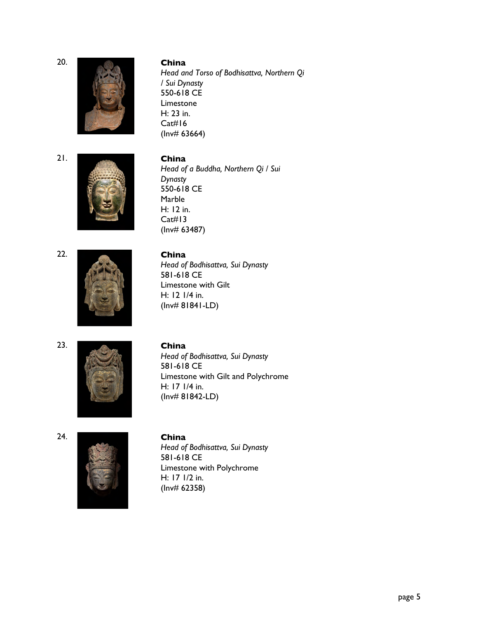

## 20. **China**

*Head and Torso of Bodhisattva, Northern Qi / Sui Dynasty* 550-618 CE Limestone H: 23 in. Cat#16 (Inv# 63664)



21. **China** *Head of a Buddha, Northern Qi / Sui Dynasty* 550-618 CE Marble H: 12 in. Cat#13 (Inv# 63487)



## 22. **China**

*Head of Bodhisattva, Sui Dynasty* 581-618 CE Limestone with Gilt H: 12 1/4 in. (Inv# 81841-LD)





23. **China** *Head of Bodhisattva, Sui Dynasty* 581-618 CE Limestone with Gilt and Polychrome H: 17 1/4 in. (Inv# 81842-LD)

24.



## 24. **China** *Head of Bodhisattva, Sui Dynasty* 581-618 CE Limestone with Polychrome H: 17 1/2 in. (Inv# 62358)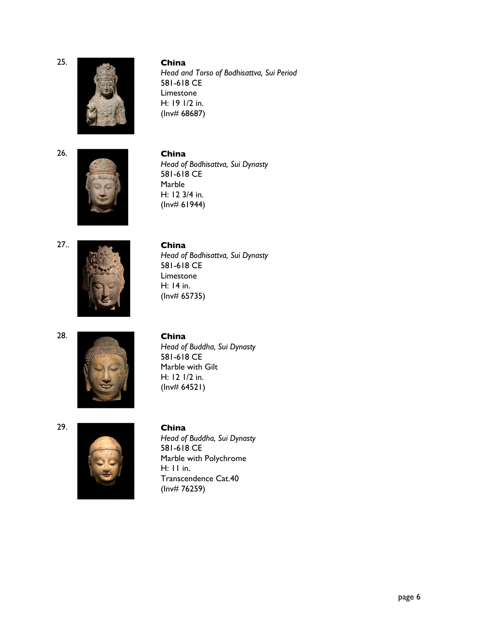

25. **China** *Head and Torso of Bodhisattva, Sui Period* 581-618 CE Limestone H: 19 1/2 in. (Inv# 68687)

26.



26. **China** *Head of Bodhisattva, Sui Dynasty* 581-618 CE Marble H: 12 3/4 in. (Inv# 61944)

27...



## 27.. **China**

*Head of Bodhisattva, Sui Dynasty* 581-618 CE Limestone H: 14 in. (Inv# 65735)

28.



## 29.



# 28. **China**

*Head of Buddha, Sui Dynasty* 581-618 CE Marble with Gilt H: 12 1/2 in. (Inv# 64521)

## 29. **China**

*Head of Buddha, Sui Dynasty* 581-618 CE Marble with Polychrome H: 11 in. Transcendence Cat.40 (Inv# 76259)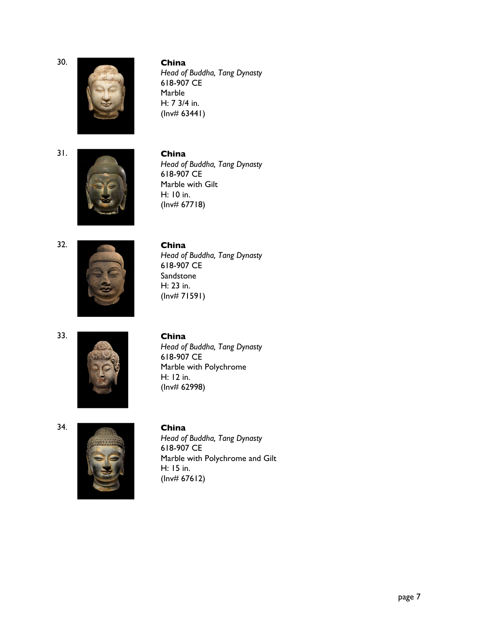

#### 30. **China**

*Head of Buddha, Tang Dynasty* 618-907 CE Marble H: 7 3/4 in.  $(lnv# 63441)$ 

31.



## 31. **China** *Head of Buddha, Tang Dynasty* 618-907 CE Marble with Gilt H: 10 in. (Inv# 67718)





## 32. **China**

*Head of Buddha, Tang Dynasty* 618-907 CE **Sandstone** H: 23 in. (Inv# 71591)

33.



## 33. **China**

*Head of Buddha, Tang Dynasty* 618-907 CE Marble with Polychrome H: 12 in. (Inv# 62998)

#### 34.



## 34. **China**

*Head of Buddha, Tang Dynasty* 618-907 CE Marble with Polychrome and Gilt H: 15 in. (Inv# 67612)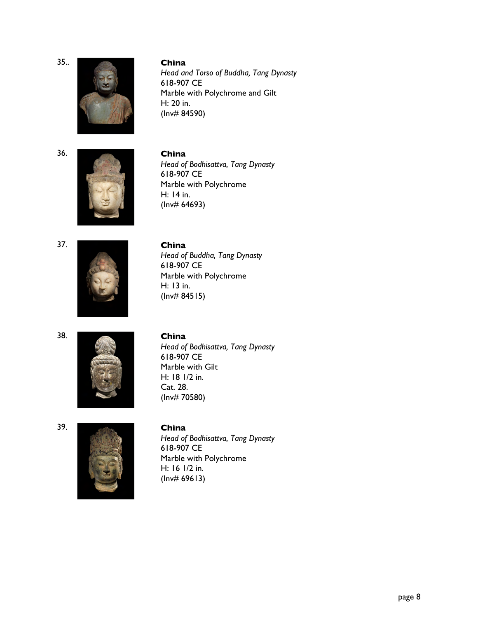35...



35.. **China** *Head and Torso of Buddha, Tang Dynasty* 618-907 CE Marble with Polychrome and Gilt H: 20 in. (Inv# 84590)

36.



36. **China** *Head of Bodhisattva, Tang Dynasty* 618-907 CE Marble with Polychrome H: 14 in. (Inv# 64693)

37.



## 37. **China**

*Head of Buddha, Tang Dynasty* 618-907 CE Marble with Polychrome H: 13 in. (Inv# 84515)

38.



## 38. **China**

*Head of Bodhisattva, Tang Dynasty* 618-907 CE Marble with Gilt H: 18 1/2 in. Cat. 28. (Inv# 70580)





## 39. **China**

*Head of Bodhisattva, Tang Dynasty* 618-907 CE Marble with Polychrome H: 16 1/2 in. (Inv# 69613)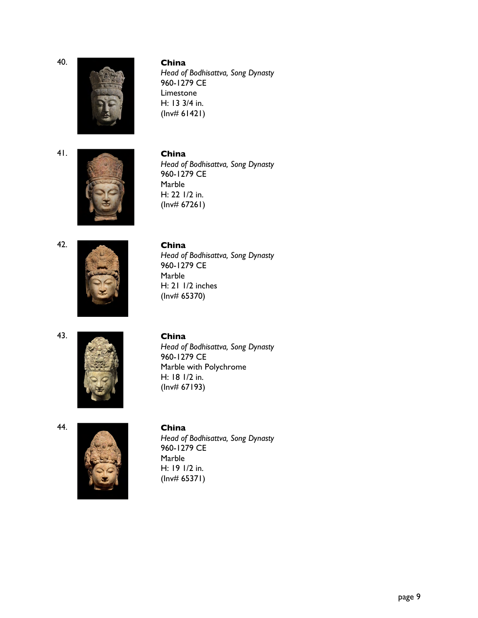

#### 40. **China**

*Head of Bodhisattva, Song Dynasty* 960-1279 CE Limestone H: 13 3/4 in. (Inv# 61421)



## 41. **China** *Head of Bodhisattva, Song Dynasty* 960-1279 CE Marble H: 22 1/2 in.  $(lnv# 67261)$





## 42. **China**

*Head of Bodhisattva, Song Dynasty* 960-1279 CE Marble H: 21 1/2 inches (Inv# 65370)

#### 43.



## 43. **China**

*Head of Bodhisattva, Song Dynasty* 960-1279 CE Marble with Polychrome H: 18 1/2 in. (Inv# 67193)

#### 44.



#### 44. **China**

*Head of Bodhisattva, Song Dynasty* 960-1279 CE Marble H: 19 1/2 in. (Inv# 65371)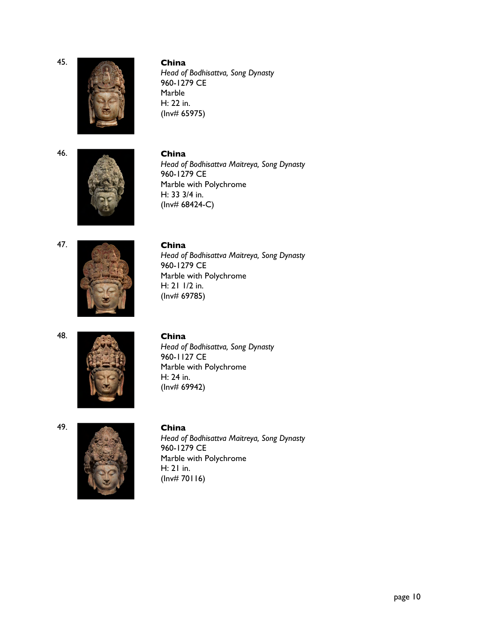

#### 45. **China**

*Head of Bodhisattva, Song Dynasty* 960-1279 CE Marble H: 22 in. (Inv# 65975)





## 46. **China** *Head of Bodhisattva Maitreya, Song Dynasty* 960-1279 CE Marble with Polychrome H: 33 3/4 in. (Inv# 68424-C)





#### 47. **China**

*Head of Bodhisattva Maitreya, Song Dynasty* 960-1279 CE Marble with Polychrome H: 21 1/2 in. (Inv# 69785)

48.



## 48. **China**

*Head of Bodhisattva, Song Dynasty* 960-1127 CE Marble with Polychrome H: 24 in. (Inv# 69942)





## 49. **China**

*Head of Bodhisattva Maitreya, Song Dynasty* 960-1279 CE Marble with Polychrome H: 21 in.  $(lnv# 70116)$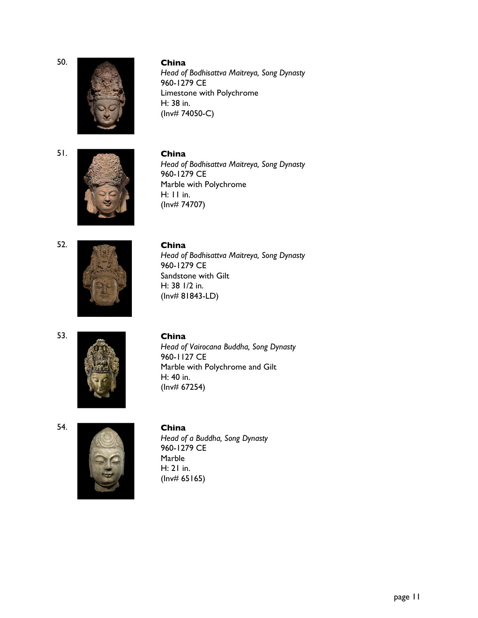

50. **China**

*Head of Bodhisattva Maitreya, Song Dynasty* 960-1279 CE Limestone with Polychrome H: 38 in. (Inv# 74050-C)



51. **China** *Head of Bodhisattva Maitreya, Song Dynasty* 960-1279 CE Marble with Polychrome H: 11 in. (Inv# 74707)





### 52. **China**

*Head of Bodhisattva Maitreya, Song Dynasty* 960-1279 CE Sandstone with Gilt H: 38 1/2 in. (Inv# 81843-LD)

53.



#### 53. **China**

*Head of Vairocana Buddha, Song Dynasty* 960-1127 CE Marble with Polychrome and Gilt H: 40 in. (Inv# 67254)

#### 54.



#### 54. **China**

*Head of a Buddha, Song Dynasty* 960-1279 CE Marble H: 21 in.  $(lnv# 65165)$